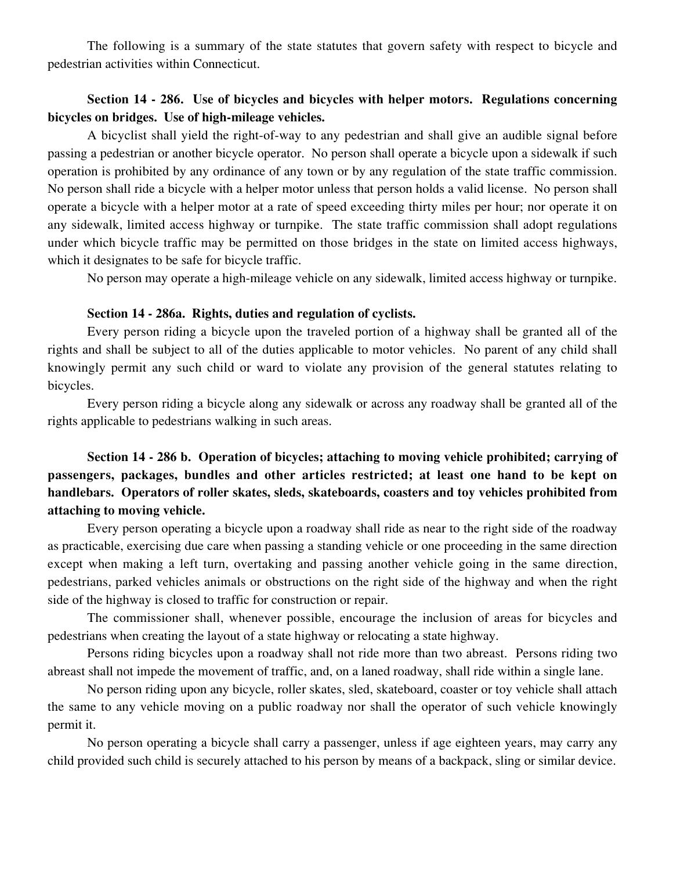The following is a summary of the state statutes that govern safety with respect to bicycle and pedestrian activities within Connecticut.

### **Section 14 - 286. Use of bicycles and bicycles with helper motors. Regulations concerning bicycles on bridges. Use of high-mileage vehicles.**

A bicyclist shall yield the right-of-way to any pedestrian and shall give an audible signal before passing a pedestrian or another bicycle operator. No person shall operate a bicycle upon a sidewalk if such operation is prohibited by any ordinance of any town or by any regulation of the state traffic commission. No person shall ride a bicycle with a helper motor unless that person holds a valid license. No person shall operate a bicycle with a helper motor at a rate of speed exceeding thirty miles per hour; nor operate it on any sidewalk, limited access highway or turnpike. The state traffic commission shall adopt regulations under which bicycle traffic may be permitted on those bridges in the state on limited access highways, which it designates to be safe for bicycle traffic.

No person may operate a high-mileage vehicle on any sidewalk, limited access highway or turnpike.

#### **Section 14 - 286a. Rights, duties and regulation of cyclists.**

Every person riding a bicycle upon the traveled portion of a highway shall be granted all of the rights and shall be subject to all of the duties applicable to motor vehicles. No parent of any child shall knowingly permit any such child or ward to violate any provision of the general statutes relating to bicycles.

Every person riding a bicycle along any sidewalk or across any roadway shall be granted all of the rights applicable to pedestrians walking in such areas.

# **Section 14 - 286 b. Operation of bicycles; attaching to moving vehicle prohibited; carrying of passengers, packages, bundles and other articles restricted; at least one hand to be kept on handlebars. Operators of roller skates, sleds, skateboards, coasters and toy vehicles prohibited from attaching to moving vehicle.**

Every person operating a bicycle upon a roadway shall ride as near to the right side of the roadway as practicable, exercising due care when passing a standing vehicle or one proceeding in the same direction except when making a left turn, overtaking and passing another vehicle going in the same direction, pedestrians, parked vehicles animals or obstructions on the right side of the highway and when the right side of the highway is closed to traffic for construction or repair.

The commissioner shall, whenever possible, encourage the inclusion of areas for bicycles and pedestrians when creating the layout of a state highway or relocating a state highway.

Persons riding bicycles upon a roadway shall not ride more than two abreast. Persons riding two abreast shall not impede the movement of traffic, and, on a laned roadway, shall ride within a single lane.

No person riding upon any bicycle, roller skates, sled, skateboard, coaster or toy vehicle shall attach the same to any vehicle moving on a public roadway nor shall the operator of such vehicle knowingly permit it.

No person operating a bicycle shall carry a passenger, unless if age eighteen years, may carry any child provided such child is securely attached to his person by means of a backpack, sling or similar device.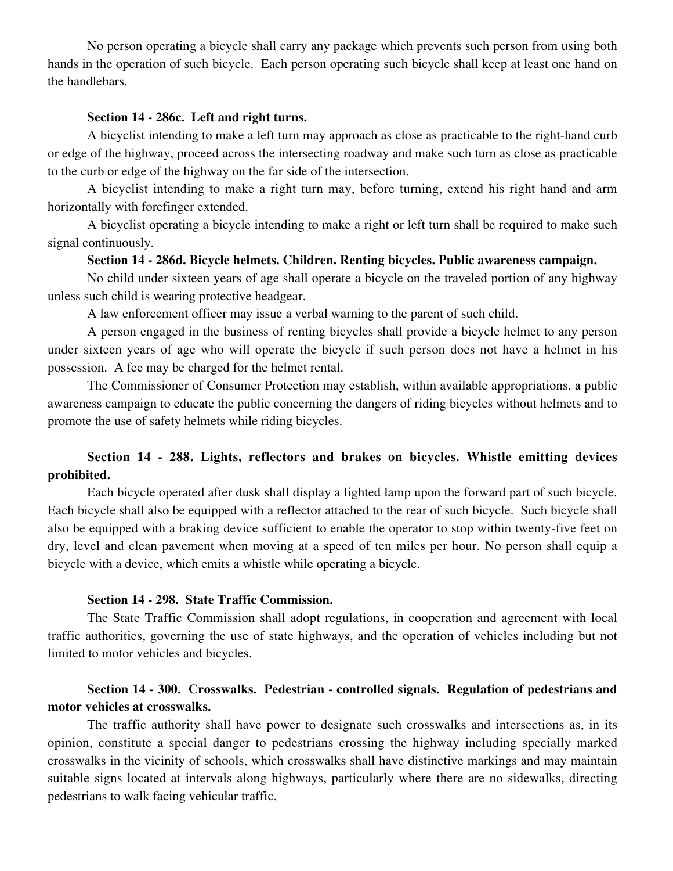No person operating a bicycle shall carry any package which prevents such person from using both hands in the operation of such bicycle. Each person operating such bicycle shall keep at least one hand on the handlebars.

#### **Section 14 - 286c. Left and right turns.**

A bicyclist intending to make a left turn may approach as close as practicable to the right-hand curb or edge of the highway, proceed across the intersecting roadway and make such turn as close as practicable to the curb or edge of the highway on the far side of the intersection.

A bicyclist intending to make a right turn may, before turning, extend his right hand and arm horizontally with forefinger extended.

A bicyclist operating a bicycle intending to make a right or left turn shall be required to make such signal continuously.

#### **Section 14 - 286d. Bicycle helmets. Children. Renting bicycles. Public awareness campaign.**

No child under sixteen years of age shall operate a bicycle on the traveled portion of any highway unless such child is wearing protective headgear.

A law enforcement officer may issue a verbal warning to the parent of such child.

A person engaged in the business of renting bicycles shall provide a bicycle helmet to any person under sixteen years of age who will operate the bicycle if such person does not have a helmet in his possession. A fee may be charged for the helmet rental.

The Commissioner of Consumer Protection may establish, within available appropriations, a public awareness campaign to educate the public concerning the dangers of riding bicycles without helmets and to promote the use of safety helmets while riding bicycles.

### **Section 14 - 288. Lights, reflectors and brakes on bicycles. Whistle emitting devices prohibited.**

Each bicycle operated after dusk shall display a lighted lamp upon the forward part of such bicycle. Each bicycle shall also be equipped with a reflector attached to the rear of such bicycle. Such bicycle shall also be equipped with a braking device sufficient to enable the operator to stop within twenty-five feet on dry, level and clean pavement when moving at a speed of ten miles per hour. No person shall equip a bicycle with a device, which emits a whistle while operating a bicycle.

#### **Section 14 - 298. State Traffic Commission.**

The State Traffic Commission shall adopt regulations, in cooperation and agreement with local traffic authorities, governing the use of state highways, and the operation of vehicles including but not limited to motor vehicles and bicycles.

### **Section 14 - 300. Crosswalks. Pedestrian - controlled signals. Regulation of pedestrians and motor vehicles at crosswalks.**

The traffic authority shall have power to designate such crosswalks and intersections as, in its opinion, constitute a special danger to pedestrians crossing the highway including specially marked crosswalks in the vicinity of schools, which crosswalks shall have distinctive markings and may maintain suitable signs located at intervals along highways, particularly where there are no sidewalks, directing pedestrians to walk facing vehicular traffic.